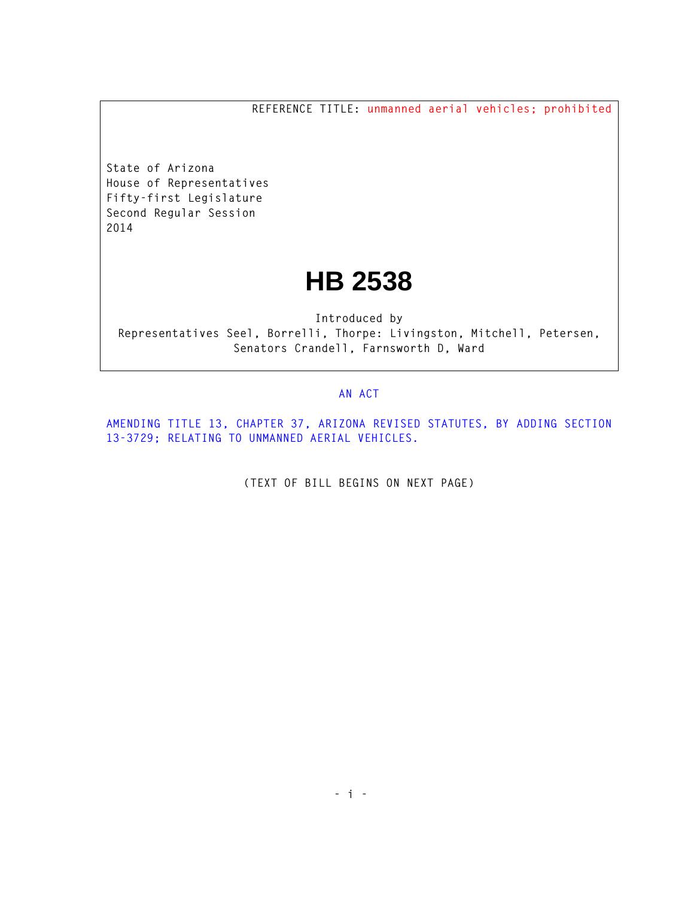**REFERENCE TITLE: unmanned aerial vehicles; prohibited**

**State of Arizona House of Representatives Fifty-first Legislature Second Regular Session 2014** 

## **HB 2538**

**Introduced by Representatives Seel, Borrelli, Thorpe: Livingston, Mitchell, Petersen, Senators Crandell, Farnsworth D, Ward** 

## **AN ACT**

**AMENDING TITLE 13, CHAPTER 37, ARIZONA REVISED STATUTES, BY ADDING SECTION 13-3729; RELATING TO UNMANNED AERIAL VEHICLES.** 

**(TEXT OF BILL BEGINS ON NEXT PAGE)**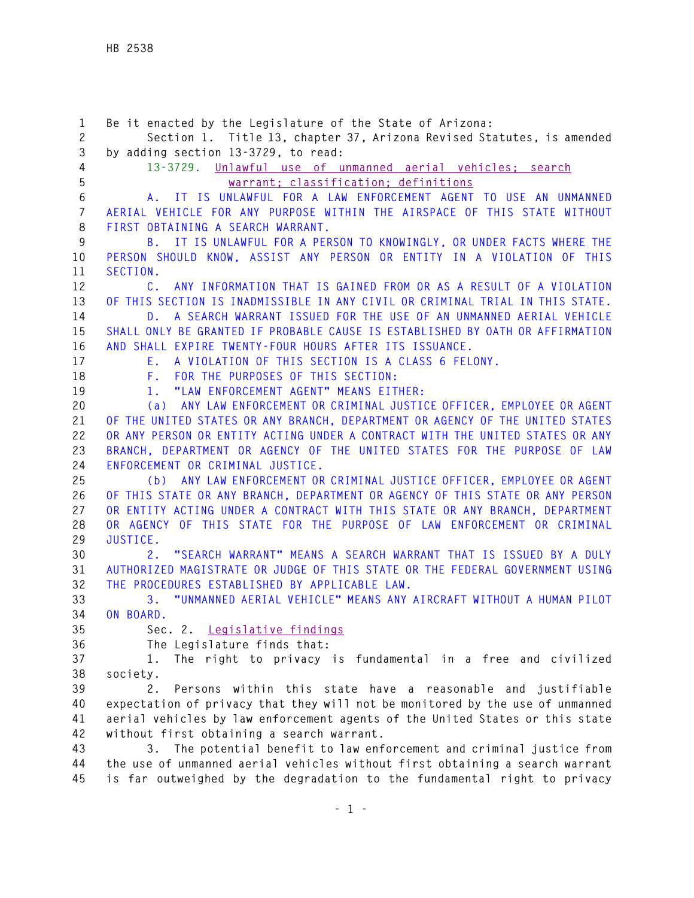**1 Be it enacted by the Legislature of the State of Arizona: 2 Section 1. Title 13, chapter 37, Arizona Revised Statutes, is amended 3 by adding section 13-3729, to read: 4 13-3729. Unlawful use of unmanned aerial vehicles; search 5 warrant; classification; definitions 6 A. IT IS UNLAWFUL FOR A LAW ENFORCEMENT AGENT TO USE AN UNMANNED 7 AERIAL VEHICLE FOR ANY PURPOSE WITHIN THE AIRSPACE OF THIS STATE WITHOUT 8 FIRST OBTAINING A SEARCH WARRANT. 9 B. IT IS UNLAWFUL FOR A PERSON TO KNOWINGLY, OR UNDER FACTS WHERE THE 10 PERSON SHOULD KNOW, ASSIST ANY PERSON OR ENTITY IN A VIOLATION OF THIS 11 SECTION. 12 C. ANY INFORMATION THAT IS GAINED FROM OR AS A RESULT OF A VIOLATION 13 OF THIS SECTION IS INADMISSIBLE IN ANY CIVIL OR CRIMINAL TRIAL IN THIS STATE. 14 D. A SEARCH WARRANT ISSUED FOR THE USE OF AN UNMANNED AERIAL VEHICLE 15 SHALL ONLY BE GRANTED IF PROBABLE CAUSE IS ESTABLISHED BY OATH OR AFFIRMATION 16 AND SHALL EXPIRE TWENTY-FOUR HOURS AFTER ITS ISSUANCE. 17 E. A VIOLATION OF THIS SECTION IS A CLASS 6 FELONY. 18 F. FOR THE PURPOSES OF THIS SECTION: 19 1. "LAW ENFORCEMENT AGENT" MEANS EITHER: 20 (a) ANY LAW ENFORCEMENT OR CRIMINAL JUSTICE OFFICER, EMPLOYEE OR AGENT 21 OF THE UNITED STATES OR ANY BRANCH, DEPARTMENT OR AGENCY OF THE UNITED STATES 22 OR ANY PERSON OR ENTITY ACTING UNDER A CONTRACT WITH THE UNITED STATES OR ANY 23 BRANCH, DEPARTMENT OR AGENCY OF THE UNITED STATES FOR THE PURPOSE OF LAW 24 ENFORCEMENT OR CRIMINAL JUSTICE. 25 (b) ANY LAW ENFORCEMENT OR CRIMINAL JUSTICE OFFICER, EMPLOYEE OR AGENT 26 OF THIS STATE OR ANY BRANCH, DEPARTMENT OR AGENCY OF THIS STATE OR ANY PERSON 27 OR ENTITY ACTING UNDER A CONTRACT WITH THIS STATE OR ANY BRANCH, DEPARTMENT 28 OR AGENCY OF THIS STATE FOR THE PURPOSE OF LAW ENFORCEMENT OR CRIMINAL 29 JUSTICE. 30 2. "SEARCH WARRANT" MEANS A SEARCH WARRANT THAT IS ISSUED BY A DULY 31 AUTHORIZED MAGISTRATE OR JUDGE OF THIS STATE OR THE FEDERAL GOVERNMENT USING 32 THE PROCEDURES ESTABLISHED BY APPLICABLE LAW. 33 3. "UNMANNED AERIAL VEHICLE" MEANS ANY AIRCRAFT WITHOUT A HUMAN PILOT 34 ON BOARD. 35 Sec. 2. Legislative findings 36 The Legislature finds that: 37 1. The right to privacy is fundamental in a free and civilized 38 society. 39 2. Persons within this state have a reasonable and justifiable 40 expectation of privacy that they will not be monitored by the use of unmanned 41 aerial vehicles by law enforcement agents of the United States or this state 42 without first obtaining a search warrant. 43 3. The potential benefit to law enforcement and criminal justice from 44 the use of unmanned aerial vehicles without first obtaining a search warrant** 

**45 is far outweighed by the degradation to the fundamental right to privacy**